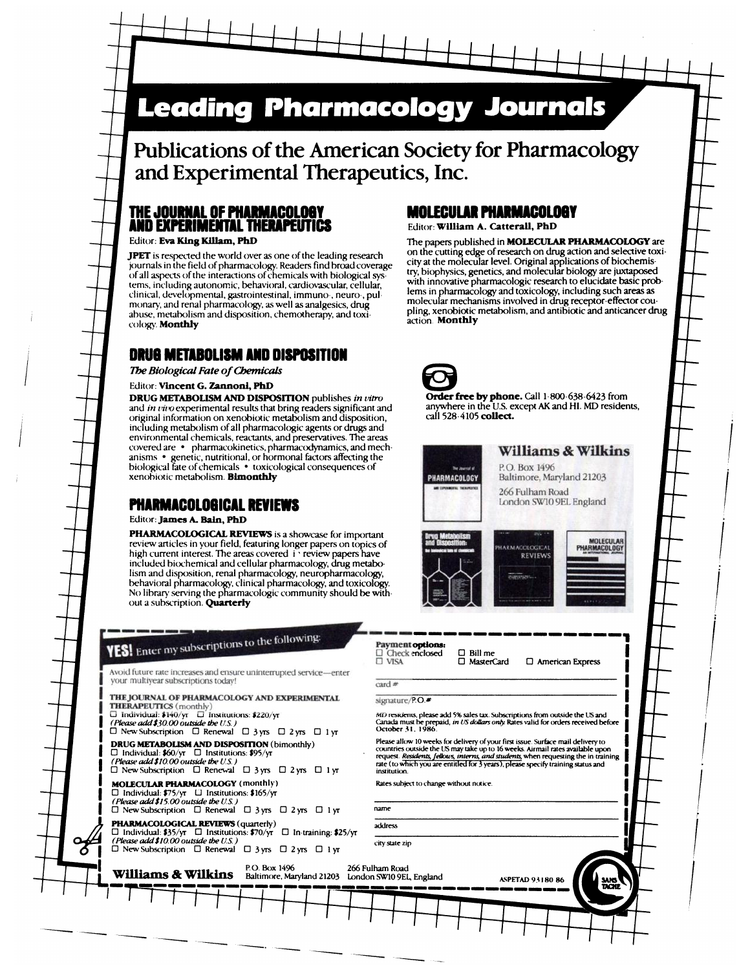# **Leading Pharmacology Journals**

**Publications of the American Society for Pharmacology** and **Experimental Therapeutics, Inc.**

## **ThE JOURNAL OF PHARMACOLOSY MOLECULAR** PHAIMACOLOOT AND EXPERIMENTAL T1IERAPEVTWS Editor: **William A. Catterall, PhD**

abuse, metabolism and disposition, chemotherapy, and toxi- pling, xenobiotic metabolism and disposition, chemotherapy, and toxicology. Monthly

## **DRUOMETABOLI8MAND DISPOSITION**

**The Biological Fate of Chemicals** 

### Editor: Vincent G. Zannoni, PhD

**DRUG METABOLISM AND DISPOSITION** publishes *in vitro* **Order free by phone.** Call 1-800-638-6423 from and *in vivo* experimental results that bring readers significant and anywhere in the U.S. except AK and HI. MD residen and *in vivo* experimental results that bring readers significant and anywhere in the U.S. except and information on xenobiotic metabolism and disposition call 528-4105 **collect.** original information on xenobiotic metabolism and disposition, including metabolism of all pharmacologic agents or drugs and environmental chemicals, reactants, and preservatives. The areas covered are  $\cdot$  pharmacokinetics, pharmacodynamics, and mech- Williams & Wilkins anisms . genetic, nutritional, or hormonal factors affecting the biological fate of chemicals • toxicological consequences of **Program and P.O. Box 1496**<br>
PHARMACOLOGY Baltimore, Maryland 21203 **xenohiotic** metabolism. **Bimonthly Baltimore, Maryland 212033 PHARMACOLOGY** 

### **PHARMACOLOOICAL** REVIEWS

Editor: James A. Bain, PhD

PHARMACOLOGICAL REVIEWS is a showcase for important review articles in your field, featuring longer papers on topics of high current interest. The areas covered i **' review** papers have included biochemical and cellular pharmacology, drug metabolism and disposition, renal pharmacology, neuropharmacology,<br>behavioral pharmacology, clinical pharmacology, and toxicology.<br>No library serving the pharmacologic community should be without a subscription. Quarterly

# **YES!** Enter my subscriptions to the following:

Avoid future rate increases and ensure uninterrupted service-enter your multiyear subscriptions today!

THE JOURNAL OF PHARMACOLOGY AND EXPERIMENTAL

D new Subscription  $\Box$  Renewal  $\Box$  3 yrs  $\Box$  2 yrs  $\Box$  1 yr  $\Box$  New Subscription  $\Box$  Renewal  $\Box$  3 yrs  $\Box$  2 yrs  $\Box$  1 yr

 $\Box$  New Subscription  $\Box$  Renewal  $\Box$  3 yrs  $\Box$  2 yrs  $\Box$  1 yr institution MOLECULAR PHARMACOLOGY (monthly)

 $\Box$  Individual: \$75/yr  $\Box$  Institutions: \$165/yr<br>
(Please add \$15.00 outside the U.S.)

**- - --**

 $\Box$  New Subscription  $\Box$  Renewal  $\Box$  3 yrs  $\Box$  2 yrs  $\Box$  1 yr

 $\bigcirc$   $\Box$  New Subscription  $\Box$  Renewal  $\Box$  3 yrs  $\Box$  2 yrs  $\Box$  1 yr **PHARMACOLOGICAL REVIEWS** (quarterly)  $\overline{a}$   $\overline{b}$   $\overline{c}$   $\overline{d}$   $\overline{d}$   $\overline{d}$   $\overline{c}$   $\overline{d}$   $\overline{d}$   $\overline{d}$   $\overline{f}$   $\overline{f}$   $\overline{f}$   $\overline{f}$   $\overline{f}$   $\overline{f}$   $\overline{f}$   $\overline{f}$   $\overline{f}$   $\overline{f}$   $\over$ *(Please add\$lO.00 ouLthde the US.)*

Editor: Eva King Killam, PhD The papers published in **MOLECULAR PHARMACOLOGY** are **JPET** is respected the world over as one of the leading research on the cutting edge of research on drug action and selective toxi-<br>journals in the field of pharmacology Readers find broad coverage city at the molecular l journals in the field ofpharmacology. Readers find hroadcoverage CitY at the molecular level. Original applications of biochemis of all aspects of the interactions of chemicals with biological sys- biophysics, genetics, and morecular biology are phase of tems, including autonomic, behavioral, cardiovascular, cellular, with innovative pharmacologic research to elucidate basic prob-<br>clinical, developmental, gratrointestinal, immuno, neuro, pul. lems in pharmacology and toxic clinical, developmental, gastrointestinal, immuno-, neuro-, pul- lems in pharmacology and toxicology, including such areas as monary, and renal pharmacology, as well as analgesics, drug molecular mechanisms involved in drug receptor-effector cou-<br>abuse metabolism and disposition chemotherany and toxi-<br>pling, xenobiotic metabolism, and antibiotic



**ii**

 $\int$ 

 $\int$ 

*I*

*I*

*I*

*I*

I

I

*I*

266 Fulham Road London SWIO 9EL England





**D** American Express

Payment options:  $\Box$ Check enclosed<br>  $\Box$ VISA

□ Bill me<br>□ MasterCard

signature/P.O.#

card  $#$ 

U individual: \$140/yr U institutions: \$220/yr entertainment and the material state and f% sales tax. Subscriptions from outside the US and U<br>Canada must be prepaid, *in US dollars only* Rase and \$50.00 (*Please add \$% sa* 

**DRUG METABOLISM AND DISPOSITION** (bimonthly)<br>  $\Box$  Individual: **\$60**/yr  $\Box$  Institutions: **\$95**/yr  $\Box$  Institutions: **\$95**/yr  $\Box$  Institutions: **\$95**/yr  $\Box$  Institutions: **\$95**/yr  $\Box$  Institutions: **\$95**/yr  $\Box$  Ins

Rates subject to change without notice

city state zip

**III P.O. Box 1496** 266 Fulham Road 21203 London SW10 9E1, England Baltimore, Maryland 21203 London SW10 9E1, England

**- - -**

**-----** *- -* ---- -- ------------------- **- -** AsPErAD <sup>93</sup> **<sup>I</sup> <sup>80</sup> <sup>86</sup>**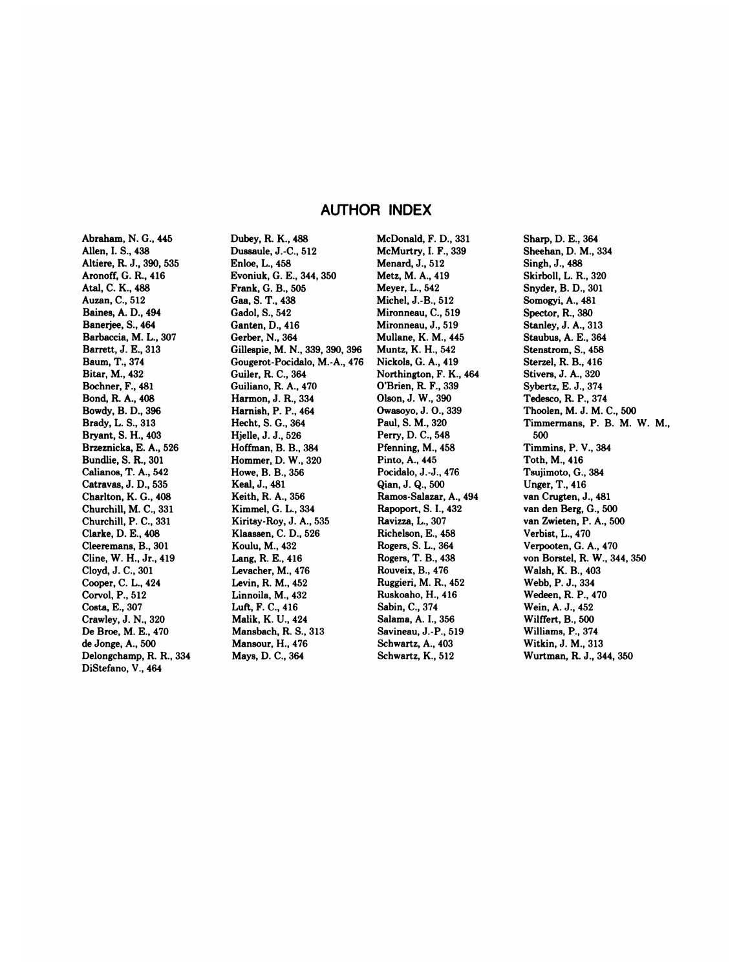## AUTHOR INDEX

Abraham, N. G., **445** Allen, **I. S.,** 438 Altiere, R. J., 390, 535 Aronoff, G. R., 416 Atal, C. K., 488 Auzan, C., 512 Baines, A. D., 494 Banerjee, S., 464 Barbaccia, M. L., 307 Barrett, J. E., 313 Baum, T., 374 Biter, M., 432 Bochner, F., 481 Bond, R. A., 408 Bowdy, B. D., 396 Brady, L. S., 313 Bryant, S. H., 403 Brzeznicka, E. A., 526 Bundlie, S. R., 301 Calianos, T. A., 542 Catravas, **J. D., 535** Charlton, K. G., 408 Churchill, M. C., 331 Churchill, P. **C., 331** Clarke, D. E., 408 Cleeremans, B., 301 Cline, W. H., Jr., 419 Cloyd,J.C.,301 Cooper, C. L., 424 Corvol, **P., 512** Costa, E., 307 Crawley, J. N., 320 Dc Broe, M. E., 470 de Jonge, A., 500 Delongchamp, R. R., 334 DiStefano, V., 464

Dubey, R. K., 488 Dussaule, J.-C., 512 Enloe, L., 458 Evoniuk, G. E., **344, 350** Frank, **G. B.,** 505 Gaa, S. T., 438 Gadol, S., 542 Ganten,D.,416 Gerber, N., 364 Gillespie, M. N., 339, 390, 396 Gougerot-Pocidalo, **M.-A., 476** Guiler, R. C., 364 Guiliano, R. A., 470 Harmon, J. R., 334 Harnish, **P. P.,** 464 Hecht, S. G., 364 Hjelle, J. J., 526 Hoffman, B. B., 384 Hommer, D. W., 320 Howe, B. B., 356 Keal,J., 481 Keith, R. A., 356 Kimmel, G. L., 334 Kiritsy-Roy, J. A., 535 Klaassen, C. D., 526 Koulu, M., 432 Lang, R. E., 416 Levacher, M., 476 Levin, R. M., 452 Linnoila, M., 432 Luft, F. C., 416 Malik, K. U., 424 Mansbach, R. S., 313 Mansour, H., 476 Mays, D. C., 364

McDonald, F. D., 331 McMurtry, I. F., 339 Menard, J., 512 Metz, M. A., 419 Meyer, L., 542 Michel, J.-B., 512 Mironneau, C., 519 Mironneau, J., 519 Mullane, K. M., 445 Muntz, K. H., 542 Nickols, G. A., 419 Northington, F. K., 464 O'Brien, R. F., 339 Olson, J. W., 390 Owasoyo, J. 0., 339 Paul, S. M., 320 Perry, D. C., 548 Pfenning, M., 458 Pinto, A., 445 Pocidalo, J.-J., 476 Qian,J.Q.,500 Ramos-Salazar, A., 494 Rapoport, S. I., 432 Ravizza, **L., 307** Richelson, E., 458 Rogers, S. L., 364 Rogers, T. B., 438 Rouveix, **B.,** 476 Ruggieri, M. R., 452 Ruskoaho, H., 416 Sabin, C., 374 Salama, A. I., 356 Savineau, J.-P., 519 Schwartz, A., 403

Schwartz, K., 512

Sharp, D. E., 364 Sheehan, D. M., 334 Singh, J., 488 Skirboll, L. R., 320 Snyder, B. D., 301 Somogyi,A., 481 Spector, R, 380 Stanley, **J. A.,** 313 Staubus, A. E., 364 Stenstrom, S., 458 Sterzel, R. B., 416 Stivers, J. A., 320 Sybertz, E. J., 374 Tedesco, R **P., 374** Thoolen, M. J. M. C., 500 Timmermans, P. B. M. W. M., 500 Timmins, P. V., 384 Toth, M., 416 Tsujimoto, G., 384 Unger,T., 416 van Crugten, J., 481 van den Berg, G., 500 van Zwieten, P. A., 500 Verbist, L., 470 Verpooten, G. A., 470 von Borstel, R. W., 344,350 Walsh, K. B., 403 Webb, P. J., 334 Wedeen, R **P.,** 470 Wein, A. J., 452 Wilffert, B., 500 Williams, P., 374 Witkin, J. M., 313 Wurtman, R. J., 344, 350